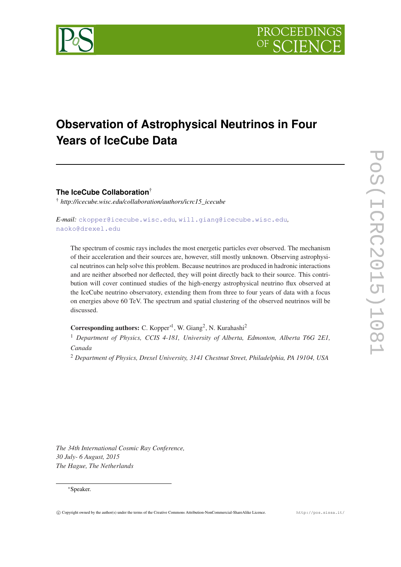

# **Observation of Astrophysical Neutrinos in Four Years of IceCube Data**

**The IceCube Collaboration**†

† *http://icecube.wisc.edu/collaboration/authors/icrc15\_icecube*

*E-mail:* [ckopper@icecube.wisc.edu](mailto:ckopper@icecube.wisc.edu)*,* [will.giang@icecube.wisc.edu](mailto:will.giang@icecube.wisc.edu)*,* [naoko@drexel.edu](mailto:naoko@drexel.edu)

The spectrum of cosmic rays includes the most energetic particles ever observed. The mechanism of their acceleration and their sources are, however, still mostly unknown. Observing astrophysical neutrinos can help solve this problem. Because neutrinos are produced in hadronic interactions and are neither absorbed nor deflected, they will point directly back to their source. This contribution will cover continued studies of the high-energy astrophysical neutrino flux observed at the IceCube neutrino observatory, extending them from three to four years of data with a focus on energies above 60 TeV. The spectrum and spatial clustering of the observed neutrinos will be discussed.

Corresponding authors: C. Kopper<sup>∗1</sup>, W. Giang<sup>2</sup>, N. Kurahashi<sup>2</sup>

<sup>1</sup> *Department of Physics, CCIS 4-181, University of Alberta, Edmonton, Alberta T6G 2E1, Canada*

<sup>2</sup> *Department of Physics, Drexel University, 3141 Chestnut Street, Philadelphia, PA 19104, USA*

*The 34th International Cosmic Ray Conference, 30 July- 6 August, 2015 The Hague, The Netherlands*

#### <sup>∗</sup>Speaker.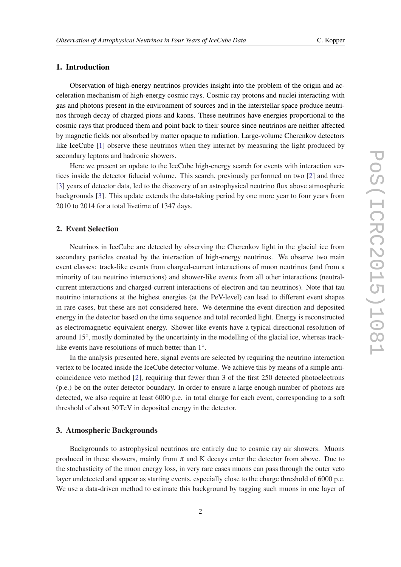# 1. Introduction

Observation of high-energy neutrinos provides insight into the problem of the origin and acceleration mechanism of high-energy cosmic rays. Cosmic ray protons and nuclei interacting with gas and photons present in the environment of sources and in the interstellar space produce neutrinos through decay of charged pions and kaons. These neutrinos have energies proportional to the cosmic rays that produced them and point back to their source since neutrinos are neither affected by magnetic fields nor absorbed by matter opaque to radiation. Large-volume Cherenkov detectors like IceCube [[1](#page-7-0)] observe these neutrinos when they interact by measuring the light produced by secondary leptons and hadronic showers.

Here we present an update to the IceCube high-energy search for events with interaction vertices inside the detector fiducial volume. This search, previously performed on two [[2](#page-7-0)] and three [[3](#page-7-0)] years of detector data, led to the discovery of an astrophysical neutrino flux above atmospheric backgrounds [[3](#page-7-0)]. This update extends the data-taking period by one more year to four years from 2010 to 2014 for a total livetime of 1347 days.

#### 2. Event Selection

Neutrinos in IceCube are detected by observing the Cherenkov light in the glacial ice from secondary particles created by the interaction of high-energy neutrinos. We observe two main event classes: track-like events from charged-current interactions of muon neutrinos (and from a minority of tau neutrino interactions) and shower-like events from all other interactions (neutralcurrent interactions and charged-current interactions of electron and tau neutrinos). Note that tau neutrino interactions at the highest energies (at the PeV-level) can lead to different event shapes in rare cases, but these are not considered here. We determine the event direction and deposited energy in the detector based on the time sequence and total recorded light. Energy is reconstructed as electromagnetic-equivalent energy. Shower-like events have a typical directional resolution of around 15°, mostly dominated by the uncertainty in the modelling of the glacial ice, whereas tracklike events have resolutions of much better than 1°.

In the analysis presented here, signal events are selected by requiring the neutrino interaction vertex to be located inside the IceCube detector volume. We achieve this by means of a simple anticoincidence veto method [[2](#page-7-0)], requiring that fewer than 3 of the first 250 detected photoelectrons (p.e.) be on the outer detector boundary. In order to ensure a large enough number of photons are detected, we also require at least 6000 p.e. in total charge for each event, corresponding to a soft threshold of about 30TeV in deposited energy in the detector.

#### 3. Atmospheric Backgrounds

Backgrounds to astrophysical neutrinos are entirely due to cosmic ray air showers. Muons produced in these showers, mainly from  $\pi$  and K decays enter the detector from above. Due to the stochasticity of the muon energy loss, in very rare cases muons can pass through the outer veto layer undetected and appear as starting events, especially close to the charge threshold of 6000 p.e. We use a data-driven method to estimate this background by tagging such muons in one layer of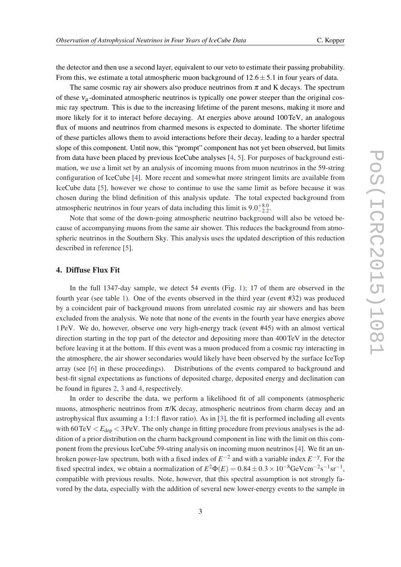the detector and then use a second layer, equivalent to our veto to estimate their passing probability. From this, we estimate a total atmospheric muon background of  $12.6 \pm 5.1$  in four years of data.

The same cosmic ray air showers also produce neutrinos from  $\pi$  and K decays. The spectrum of these  $v_{\mu}$ -dominated atmospheric neutrinos is typically one power steeper than the original cosmic ray spectrum. This is due to the increasing lifetime of the parent mesons, making it more and more likely for it to interact before decaying. At energies above around 100TeV, an analogous flux of muons and neutrinos from charmed mesons is expected to dominate. The shorter lifetime of these particles allows them to avoid interactions before their decay, leading to a harder spectral slope of this component. Until now, this "prompt" component has not yet been observed, but limits from data have been placed by previous IceCube analyses [[4](#page-7-0), [5](#page-7-0)]. For purposes of background estimation, we use a limit set by an analysis of incoming muons from muon neutrinos in the 59-string configuration of IceCube [[4](#page-7-0)]. More recent and somewhat more stringent limits are available from IceCube data [\[5](#page-7-0)], however we chose to continue to use the same limit as before because it was chosen during the blind definition of this analysis update. The total expected background from atmospheric neutrinos in four years of data including this limit is  $9.0^{+8.0}_{-2.2}$ .

Note that some of the down-going atmospheric neutrino background will also be vetoed because of accompanying muons from the same air shower. This reduces the background from atmospheric neutrinos in the Southern Sky. This analysis uses the updated description of this reduction described in reference [\[5](#page-7-0)].

## 4. Diffuse Flux Fit

In the full 1347-day sample, we detect 54 events (Fig. [1](#page-3-0)); 17 of them are observed in the fourth year (see table [1\)](#page-3-0). One of the events observed in the third year (event #32) was produced by a coincident pair of background muons from unrelated cosmic ray air showers and has been excluded from the analysis. We note that none of the events in the fourth year have energies above 1PeV. We do, however, observe one very high-energy track (event #45) with an almost vertical direction starting in the top part of the detector and depositing more than 400TeV in the detector before leaving it at the bottom. If this event was a muon produced from a cosmic ray interacting in the atmosphere, the air shower secondaries would likely have been observed by the surface IceTop array (see [[6](#page-7-0)] in these proceedings). Distributions of the events compared to background and best-fit signal expectations as functions of deposited charge, deposited energy and declination can be found in figures [2,](#page-4-0) [3](#page-4-0) and [4](#page-5-0), respectively.

In order to describe the data, we perform a likelihood fit of all components (atmospheric muons, atmospheric neutrinos from  $\pi$ /K decay, atmospheric neutrinos from charm decay and an astrophysical flux assuming a 1:1:1 flavor ratio). As in [[3](#page-7-0)], the fit is performed including all events with  $60 \text{TeV} < E_{\text{dep}} < 3 \text{PeV}$ . The only change in fitting procedure from previous analyses is the addition of a prior distribution on the charm background component in line with the limit on this component from the previous IceCube 59-string analysis on incoming muon neutrinos [[4](#page-7-0)]. We fit an unbroken power-law spectrum, both with a fixed index of *E* −2 and with a variable index *E* −γ . For the fixed spectral index, we obtain a normalization of  $E^2\Phi(E) = 0.84 \pm 0.3 \times 10^{-8}$ GeVcm<sup>-2</sup>s<sup>-1</sup>sr<sup>-1</sup>, compatible with previous results. Note, however, that this spectral assumption is not strongly favored by the data, especially with the addition of several new lower-energy events to the sample in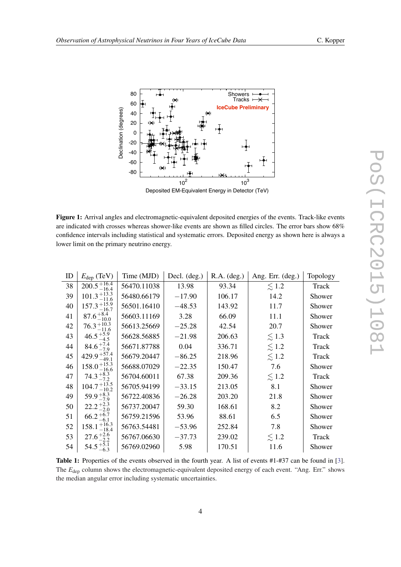

<span id="page-3-0"></span>

Figure 1: Arrival angles and electromagnetic-equivalent deposited energies of the events. Track-like events are indicated with crosses whereas shower-like events are shown as filled circles. The error bars show 68% confidence intervals including statistical and systematic errors. Deposited energy as shown here is always a lower limit on the primary neutrino energy.

| ID | $E_{\text{dep}}$ (TeV)    | Time (MJD)  | Decl. $(\text{deg.})$ | R.A. (deg.) | Ang. Err. (deg.) | Topology |
|----|---------------------------|-------------|-----------------------|-------------|------------------|----------|
| 38 | $200.5_{-16.4}^{+16.4}$   | 56470.11038 | 13.98                 | 93.34       | $\lesssim$ 1.2   | Track    |
| 39 | $101.3 + 13.3$<br>11.6    | 56480.66179 | $-17.90$              | 106.17      | 14.2             | Shower   |
| 40 | $+15.9$<br>-16.7<br>157.3 | 56501.16410 | $-48.53$              | 143.92      | 11.7             | Shower   |
| 41 | $87.6^{+8.4}_{-10.0}$     | 56603.11169 | 3.28                  | 66.09       | 11.1             | Shower   |
| 42 | $76.3_{-11.6}^{+10.3}$    | 56613.25669 | $-25.28$              | 42.54       | 20.7             | Shower   |
| 43 | $46.5^{+5.9}_{-4.5}$      | 56628.56885 | $-21.98$              | 206.63      | $\lesssim$ 1.3   | Track    |
| 44 | $84.6^{+7.4}_{-7.9}$      | 56671.87788 | 0.04                  | 336.71      | $\lesssim$ 1.2   | Track    |
| 45 | $429.9_{-49.1}^{+57.4}$   | 56679.20447 | $-86.25$              | 218.96      | $\lesssim$ 1.2   | Track    |
| 46 | $158.0_{-16.6}^{+15.3}$   | 56688.07029 | $-22.35$              | 150.47      | 7.6              | Shower   |
| 47 | $74.3_{-7.2}^{+8.3}$      | 56704.60011 | 67.38                 | 209.36      | $\lesssim$ 1.2   | Track    |
| 48 | $104.7_{-10.2}^{+13.5}$   | 56705.94199 | $-33.15$              | 213.05      | 8.1              | Shower   |
| 49 | $59.9^{+8.3}_{-7.9}$      | 56722.40836 | $-26.28$              | 203.20      | 21.8             | Shower   |
| 50 | $22.2^{+2.3}_{-2.0}$      | 56737.20047 | 59.30                 | 168.61      | 8.2              | Shower   |
| 51 | $66.2^{+6.7}_{-6.1}$      | 56759.21596 | 53.96                 | 88.61       | 6.5              | Shower   |
| 52 | $158.1_{-18.4}^{+16.3}$   | 56763.54481 | $-53.96$              | 252.84      | 7.8              | Shower   |
| 53 | $27.6^{+2.6}_{-2.2}$      | 56767.06630 | $-37.73$              | 239.02      | $\lesssim$ 1.2   | Track    |
| 54 | $54.5^{+5.1}_{-6.3}$      | 56769.02960 | 5.98                  | 170.51      | 11.6             | Shower   |

Table 1: Properties of the events observed in the fourth year. A list of events #1-#37 can be found in [\[3](#page-7-0)]. The *E*<sub>dep</sub> column shows the electromagnetic-equivalent deposited energy of each event. "Ang. Err." shows the median angular error including systematic uncertainties.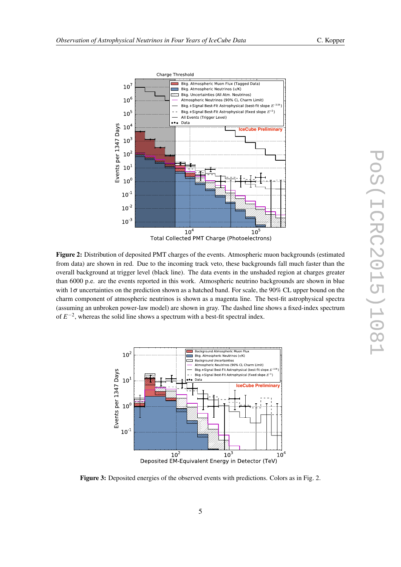<span id="page-4-0"></span>

Total Collected PMT Charge (Photoelectrons)

Figure 2: Distribution of deposited PMT charges of the events. Atmospheric muon backgrounds (estimated from data) are shown in red. Due to the incoming track veto, these backgrounds fall much faster than the overall background at trigger level (black line). The data events in the unshaded region at charges greater than 6000 p.e. are the events reported in this work. Atmospheric neutrino backgrounds are shown in blue with  $1\sigma$  uncertainties on the prediction shown as a hatched band. For scale, the 90% CL upper bound on the charm component of atmospheric neutrinos is shown as a magenta line. The best-fit astrophysical spectra (assuming an unbroken power-law model) are shown in gray. The dashed line shows a fixed-index spectrum of  $E^{-2}$ , whereas the solid line shows a spectrum with a best-fit spectral index.



Figure 3: Deposited energies of the observed events with predictions. Colors as in Fig. 2.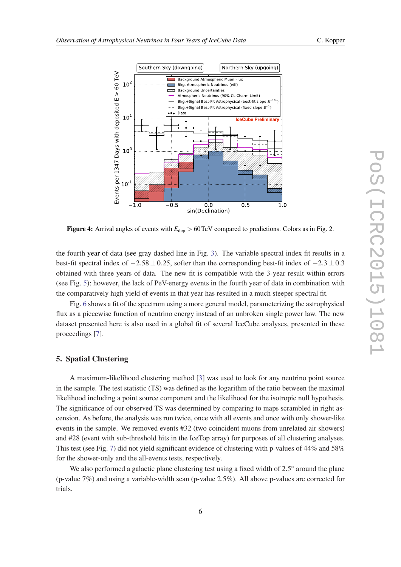

<span id="page-5-0"></span>

Figure 4: Arrival angles of events with  $E_{dep} > 60 \text{TeV}$  compared to predictions. Colors as in Fig. 2.

the fourth year of data (see gray dashed line in Fig. [3](#page-4-0)). The variable spectral index fit results in a best-fit spectral index of  $-2.58 \pm 0.25$ , softer than the corresponding best-fit index of  $-2.3 \pm 0.3$ obtained with three years of data. The new fit is compatible with the 3-year result within errors (see Fig. [5](#page-6-0)); however, the lack of PeV-energy events in the fourth year of data in combination with the comparatively high yield of events in that year has resulted in a much steeper spectral fit.

Fig. [6](#page-6-0) shows a fit of the spectrum using a more general model, parameterizing the astrophysical flux as a piecewise function of neutrino energy instead of an unbroken single power law. The new dataset presented here is also used in a global fit of several IceCube analyses, presented in these proceedings [\[7\]](#page-7-0).

## 5. Spatial Clustering

A maximum-likelihood clustering method [\[3\]](#page-7-0) was used to look for any neutrino point source in the sample. The test statistic (TS) was defined as the logarithm of the ratio between the maximal likelihood including a point source component and the likelihood for the isotropic null hypothesis. The significance of our observed TS was determined by comparing to maps scrambled in right ascension. As before, the analysis was run twice, once with all events and once with only shower-like events in the sample. We removed events #32 (two coincident muons from unrelated air showers) and #28 (event with sub-threshold hits in the IceTop array) for purposes of all clustering analyses. This test (see Fig. [7](#page-7-0)) did not yield significant evidence of clustering with p-values of 44% and 58% for the shower-only and the all-events tests, respectively.

We also performed a galactic plane clustering test using a fixed width of  $2.5^{\circ}$  around the plane (p-value 7%) and using a variable-width scan (p-value 2.5%). All above p-values are corrected for trials.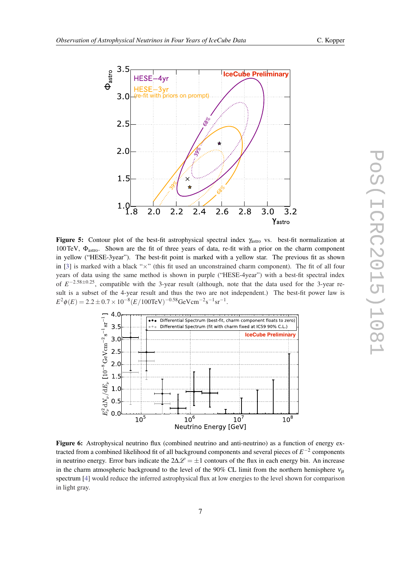

<span id="page-6-0"></span>

**Figure 5:** Contour plot of the best-fit astrophysical spectral index  $\gamma_{\text{astro}}$  vs. best-fit normalization at 100TeV,  $\Phi_{astro}$ . Shown are the fit of three years of data, re-fit with a prior on the charm component in yellow ("HESE-3year"). The best-fit point is marked with a yellow star. The previous fit as shown in [[3\]](#page-7-0) is marked with a black " $\times$ " (this fit used an unconstrained charm component). The fit of all four years of data using the same method is shown in purple ("HESE-4year") with a best-fit spectral index of  $E^{-2.58\pm0.25}$ , compatible with the 3-year result (although, note that the data used for the 3-year result is a subset of the 4-year result and thus the two are not independent.) The best-fit power law is  $E^2\phi(E) = 2.2 \pm 0.7 \times 10^{-8} (E/100 \text{TeV})^{-0.58} \text{GeV} \text{cm}^{-2} \text{s}^{-1} \text{sr}^{-1}.$ 



Figure 6: Astrophysical neutrino flux (combined neutrino and anti-neutrino) as a function of energy extracted from a combined likelihood fit of all background components and several pieces of *E* −2 components in neutrino energy. Error bars indicate the  $2\Delta\mathscr{L} = \pm 1$  contours of the flux in each energy bin. An increase in the charm atmospheric background to the level of the 90% CL limit from the northern hemisphere  $v_\mu$ spectrum [[4\]](#page-7-0) would reduce the inferred astrophysical flux at low energies to the level shown for comparison in light gray.